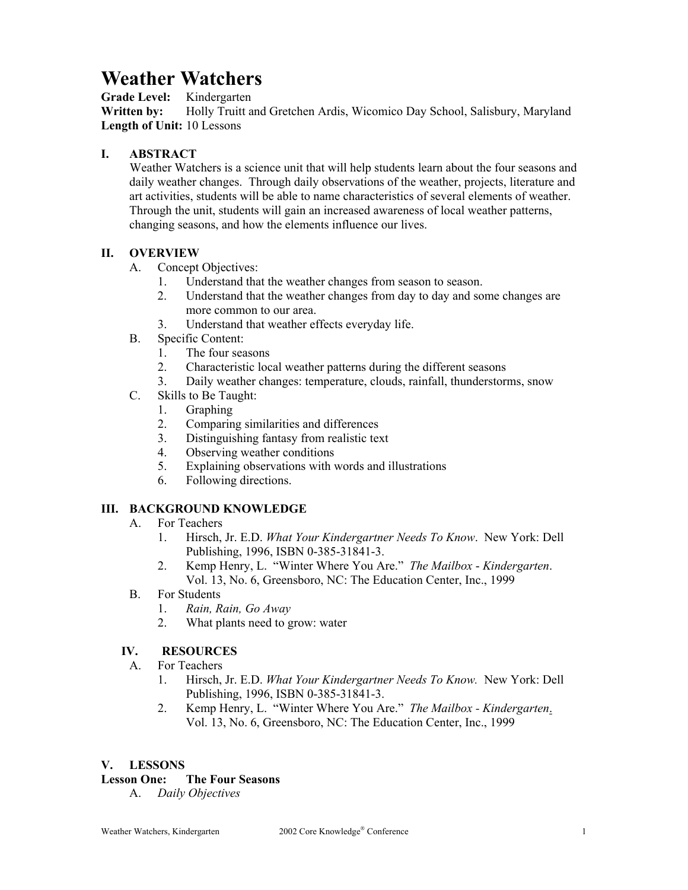### **Weather Watchers**

**Grade Level:** Kindergarten

Written by: Holly Truitt and Gretchen Ardis, Wicomico Day School, Salisbury, Maryland **Length of Unit:** 10 Lessons

#### **I. ABSTRACT**

Weather Watchers is a science unit that will help students learn about the four seasons and daily weather changes. Through daily observations of the weather, projects, literature and art activities, students will be able to name characteristics of several elements of weather. Through the unit, students will gain an increased awareness of local weather patterns, changing seasons, and how the elements influence our lives.

#### **II. OVERVIEW**

- A. Concept Objectives:
	- 1. Understand that the weather changes from season to season.
	- 2. Understand that the weather changes from day to day and some changes are more common to our area.
	- 3. Understand that weather effects everyday life.
- B. Specific Content:
	- 1. The four seasons
	- 2. Characteristic local weather patterns during the different seasons
	- 3. Daily weather changes: temperature, clouds, rainfall, thunderstorms, snow
- C. Skills to Be Taught:
	- 1. Graphing
	- 2. Comparing similarities and differences
	- 3. Distinguishing fantasy from realistic text
	- 4. Observing weather conditions
	- 5. Explaining observations with words and illustrations
	- 6. Following directions.

#### **III. BACKGROUND KNOWLEDGE**

- A. For Teachers
	- 1. Hirsch, Jr. E.D. *What Your Kindergartner Needs To Know*. New York: Dell Publishing, 1996, ISBN 0-385-31841-3.
	- 2. Kemp Henry, L. "Winter Where You Are." *The Mailbox Kindergarten*. Vol. 13, No. 6, Greensboro, NC: The Education Center, Inc., 1999
- B. For Students
	- 1. *Rain, Rain, Go Away*
	- 2. What plants need to grow: water

#### **IV. RESOURCES**

- A. For Teachers
	- 1. Hirsch, Jr. E.D. *What Your Kindergartner Needs To Know.* New York: Dell Publishing, 1996, ISBN 0-385-31841-3.
	- 2. Kemp Henry, L. "Winter Where You Are." *The Mailbox Kindergarten*. Vol. 13, No. 6, Greensboro, NC: The Education Center, Inc., 1999

#### **V. LESSONS**

#### **Lesson One: The Four Seasons**

A. *Daily Objectives*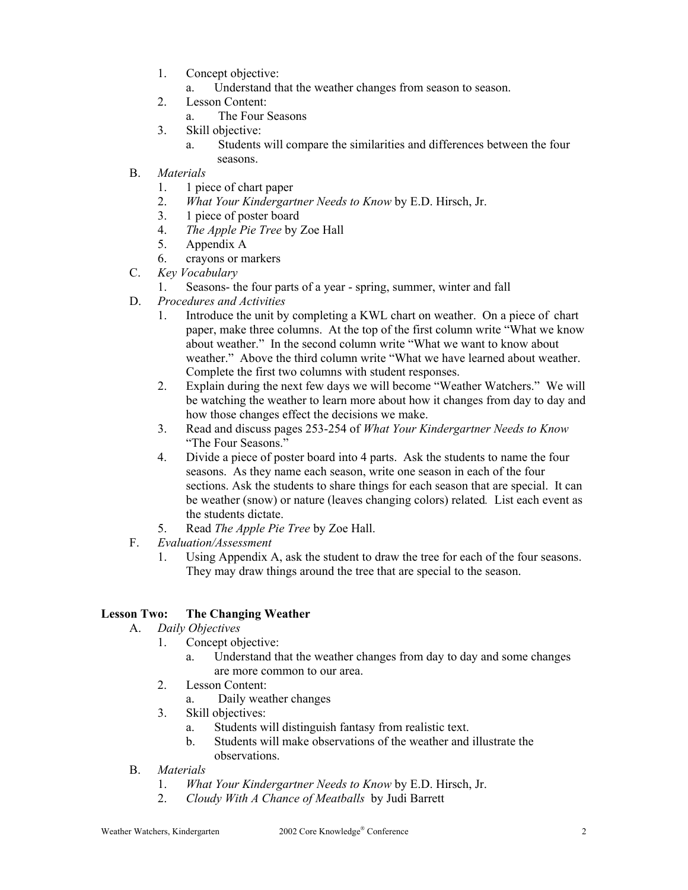- 1. Concept objective:
	- a. Understand that the weather changes from season to season.
- 2. Lesson Content:
	- a. The Four Seasons
- 3. Skill objective:
	- a. Students will compare the similarities and differences between the four seasons.
- B. *Materials*
	- 1. 1 piece of chart paper
	- 2. *What Your Kindergartner Needs to Know* by E.D. Hirsch, Jr.
	- 3. 1 piece of poster board
	- 4. *The Apple Pie Tree* by Zoe Hall
	- 5. Appendix A
	- 6. crayons or markers
- C. *Key Vocabulary*
	- 1. Seasons- the four parts of a year spring, summer, winter and fall
- D. *Procedures and Activities*
	- 1. Introduce the unit by completing a KWL chart on weather. On a piece of chart paper, make three columns. At the top of the first column write "What we know about weather." In the second column write "What we want to know about weather." Above the third column write "What we have learned about weather. Complete the first two columns with student responses.
	- 2. Explain during the next few days we will become "Weather Watchers." We will be watching the weather to learn more about how it changes from day to day and how those changes effect the decisions we make.
	- 3. Read and discuss pages 253-254 of *What Your Kindergartner Needs to Know*  "The Four Seasons."
	- 4. Divide a piece of poster board into 4 parts. Ask the students to name the four seasons. As they name each season, write one season in each of the four sections. Ask the students to share things for each season that are special. It can be weather (snow) or nature (leaves changing colors) related*.* List each event as the students dictate.
	- 5. Read *The Apple Pie Tree* by Zoe Hall.
- F. *Evaluation/Assessment*
	- 1. Using Appendix A, ask the student to draw the tree for each of the four seasons. They may draw things around the tree that are special to the season.

#### **Lesson Two: The Changing Weather**

- A. *Daily Objectives*
	- 1. Concept objective:
		- a. Understand that the weather changes from day to day and some changes are more common to our area.
	- 2. Lesson Content:
		- a. Daily weather changes
	- 3. Skill objectives:
		- a. Students will distinguish fantasy from realistic text.
		- b. Students will make observations of the weather and illustrate the observations.
- B. *Materials* 
	- 1. *What Your Kindergartner Needs to Know* by E.D. Hirsch, Jr.
	- 2. *Cloudy With A Chance of Meatballs* by Judi Barrett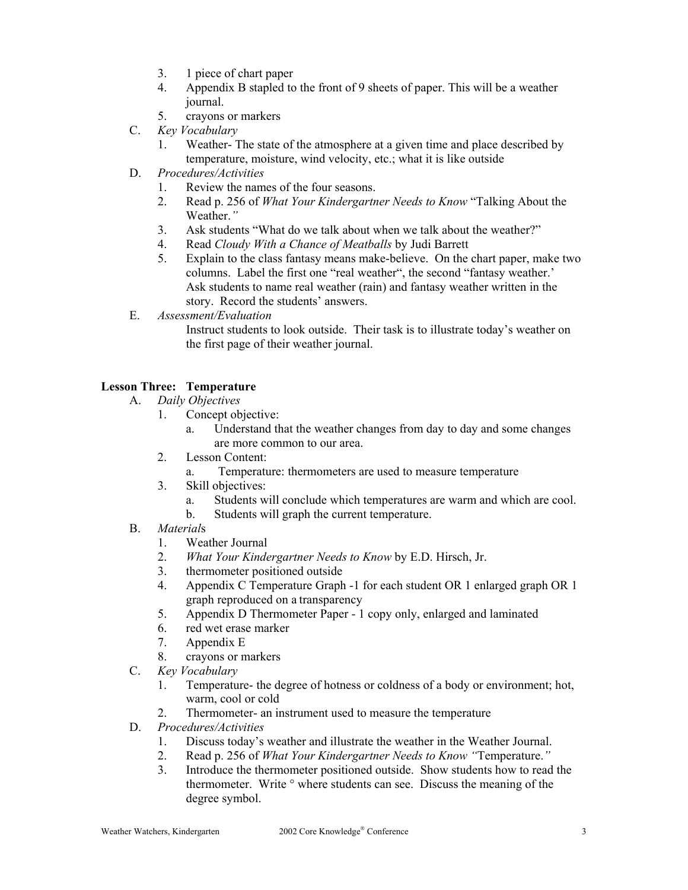- 3. 1 piece of chart paper
- 4. Appendix B stapled to the front of 9 sheets of paper. This will be a weather journal.
- 5. crayons or markers
- C. *Key Vocabulary*
	- 1. Weather- The state of the atmosphere at a given time and place described by temperature, moisture, wind velocity, etc.; what it is like outside
- D. *Procedures/Activities*
	- 1. Review the names of the four seasons.
	- 2. Read p. 256 of *What Your Kindergartner Needs to Know* "Talking About the Weather.*"*
	- 3. Ask students "What do we talk about when we talk about the weather?"
	- 4. Read *Cloudy With a Chance of Meatballs* by Judi Barrett
	- 5. Explain to the class fantasy means make-believe. On the chart paper, make two columns. Label the first one "real weather", the second "fantasy weather.' Ask students to name real weather (rain) and fantasy weather written in the story. Record the students' answers.
- E. *Assessment/Evaluation*
	- Instruct students to look outside. Their task is to illustrate today's weather on the first page of their weather journal.

#### **Lesson Three: Temperature**

- A. *Daily Objectives*
	- 1. Concept objective:
		- a. Understand that the weather changes from day to day and some changes are more common to our area.
	- 2. Lesson Content:
		- a. Temperature: thermometers are used to measure temperature
	- 3. Skill objectives:
		- a. Students will conclude which temperatures are warm and which are cool.
		- b. Students will graph the current temperature.
- B. *Material*s
	- 1. Weather Journal
	- 2. *What Your Kindergartner Needs to Know* by E.D. Hirsch, Jr.
	- 3. thermometer positioned outside
	- 4. Appendix C Temperature Graph -1 for each student OR 1 enlarged graph OR 1 graph reproduced on a transparency
	- 5. Appendix D Thermometer Paper 1 copy only, enlarged and laminated
	- 6. red wet erase marker
	- 7. Appendix E
	- 8. crayons or markers
- C. *Key Vocabulary*
	- 1. Temperature- the degree of hotness or coldness of a body or environment; hot, warm, cool or cold
	- 2. Thermometer- an instrument used to measure the temperature
- D. *Procedures/Activities*
	- 1. Discuss today's weather and illustrate the weather in the Weather Journal.
	- 2. Read p. 256 of *What Your Kindergartner Needs to Know "*Temperature.*"*
	- 3. Introduce the thermometer positioned outside. Show students how to read the thermometer. Write ° where students can see. Discuss the meaning of the degree symbol.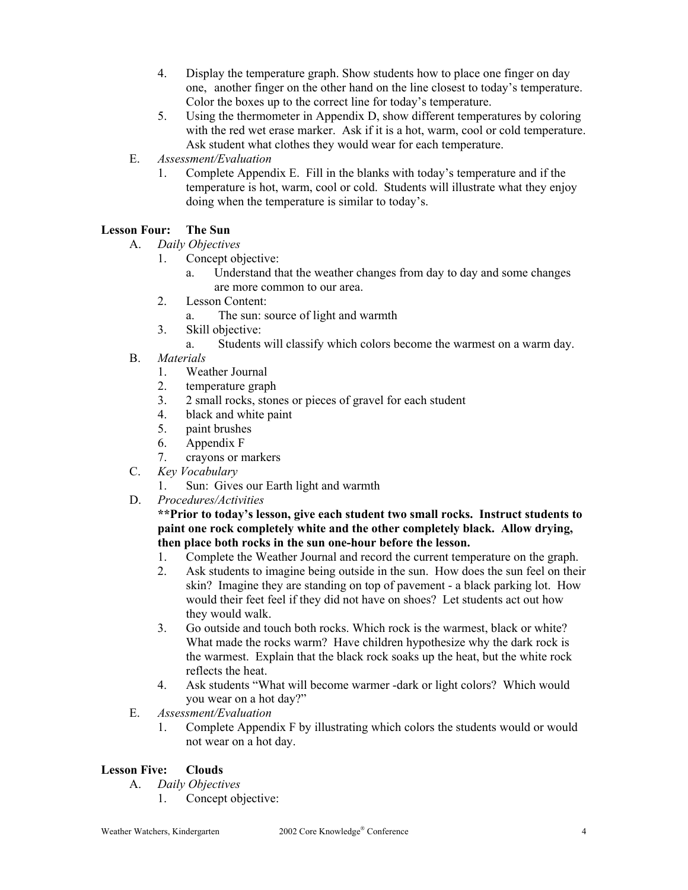- 4. Display the temperature graph. Show students how to place one finger on day one, another finger on the other hand on the line closest to today's temperature. Color the boxes up to the correct line for today's temperature.
- 5. Using the thermometer in Appendix D, show different temperatures by coloring with the red wet erase marker. Ask if it is a hot, warm, cool or cold temperature. Ask student what clothes they would wear for each temperature.
- E. *Assessment/Evaluation*
	- 1. Complete Appendix E. Fill in the blanks with today's temperature and if the temperature is hot, warm, cool or cold. Students will illustrate what they enjoy doing when the temperature is similar to today's.

#### **Lesson Four: The Sun**

- A. *Daily Objectives*
	- 1. Concept objective:
		- a. Understand that the weather changes from day to day and some changes are more common to our area.
	- 2. Lesson Content:
		- a. The sun: source of light and warmth
	- 3. Skill objective:
		- a. Students will classify which colors become the warmest on a warm day.
- B. *Materials*
	- 1. Weather Journal
	- 2. temperature graph
	- 3. 2 small rocks, stones or pieces of gravel for each student
	- 4. black and white paint
	- 5. paint brushes
	- 6. Appendix F
	- 7. crayons or markers
- C. *Key Vocabulary*
	- 1. Sun: Gives our Earth light and warmth
- D. *Procedures/Activities*

**\*\*Prior to today's lesson, give each student two small rocks. Instruct students to paint one rock completely white and the other completely black. Allow drying, then place both rocks in the sun one-hour before the lesson.** 

- 1. Complete the Weather Journal and record the current temperature on the graph.
- 2. Ask students to imagine being outside in the sun. How does the sun feel on their skin? Imagine they are standing on top of pavement - a black parking lot. How would their feet feel if they did not have on shoes? Let students act out how they would walk.
- 3. Go outside and touch both rocks. Which rock is the warmest, black or white? What made the rocks warm? Have children hypothesize why the dark rock is the warmest. Explain that the black rock soaks up the heat, but the white rock reflects the heat.
- 4. Ask students "What will become warmer -dark or light colors? Which would you wear on a hot day?"
- E. *Assessment/Evaluation*
	- 1. Complete Appendix F by illustrating which colors the students would or would not wear on a hot day.

#### **Lesson Five: Clouds**

- A. *Daily Objectives*
	- 1. Concept objective: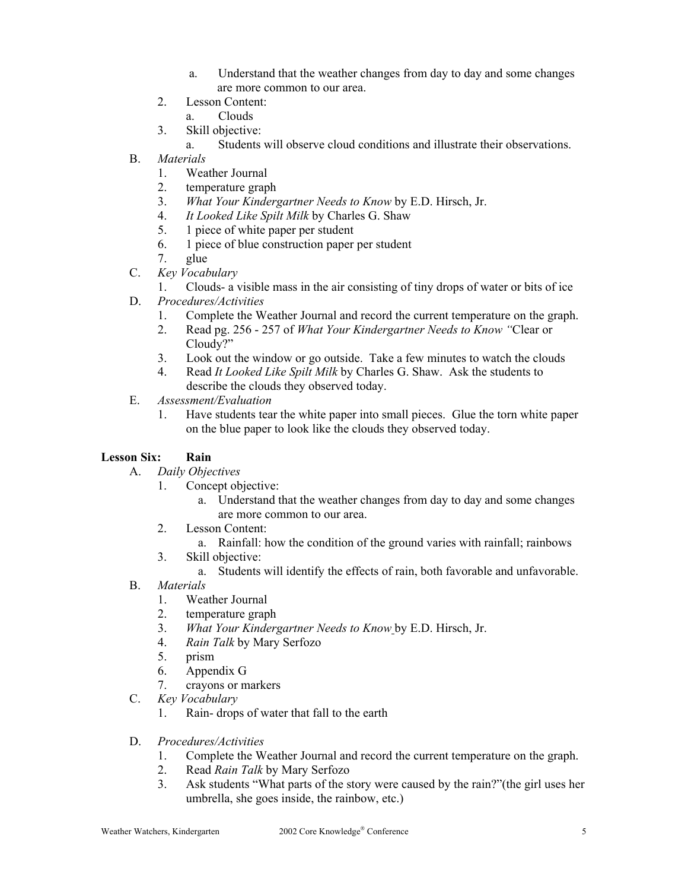- a. Understand that the weather changes from day to day and some changes are more common to our area.
- 2. Lesson Content:
	- a. Clouds
- 3. Skill objective:
	- a. Students will observe cloud conditions and illustrate their observations.
- B. *Materials*
	- 1. Weather Journal
	- 2. temperature graph
	- 3. *What Your Kindergartner Needs to Know* by E.D. Hirsch, Jr.
	- 4. *It Looked Like Spilt Milk* by Charles G. Shaw
	- 5. 1 piece of white paper per student
	- 6. 1 piece of blue construction paper per student
- 7. glue<br>C. *Key Vocab*
- Key *Vocabulary* 
	- 1. Clouds- a visible mass in the air consisting of tiny drops of water or bits of ice
- D. *Procedures/Activities*
	- 1. Complete the Weather Journal and record the current temperature on the graph.
	- 2. Read pg. 256 257 of *What Your Kindergartner Needs to Know "*Clear or Cloudy?"
	- 3. Look out the window or go outside. Take a few minutes to watch the clouds
	- 4. Read *It Looked Like Spilt Milk* by Charles G. Shaw. Ask the students to describe the clouds they observed today.
- E. *Assessment/Evaluation*
	- 1. Have students tear the white paper into small pieces. Glue the torn white paper on the blue paper to look like the clouds they observed today.

#### **Lesson Six: Rain**

- A. *Daily Objectives*
	- 1. Concept objective:
		- a. Understand that the weather changes from day to day and some changes are more common to our area.
	- 2. Lesson Content:
		- a. Rainfall: how the condition of the ground varies with rainfall; rainbows
	- 3. Skill objective:
		- a. Students will identify the effects of rain, both favorable and unfavorable.
- B. *Materials*
	- 1. Weather Journal
	- 2. temperature graph
	- 3. *What Your Kindergartner Needs to Know* by E.D. Hirsch, Jr.
	- 4. *Rain Talk* by Mary Serfozo
	- 5. prism
	- 6. Appendix G
	- 7. crayons or markers
- C. *Key Vocabulary* 
	- 1. Rain- drops of water that fall to the earth
- D. *Procedures/Activities*
	- 1. Complete the Weather Journal and record the current temperature on the graph.
	- 2. Read *Rain Talk* by Mary Serfozo
	- 3. Ask students "What parts of the story were caused by the rain?"(the girl uses her umbrella, she goes inside, the rainbow, etc.)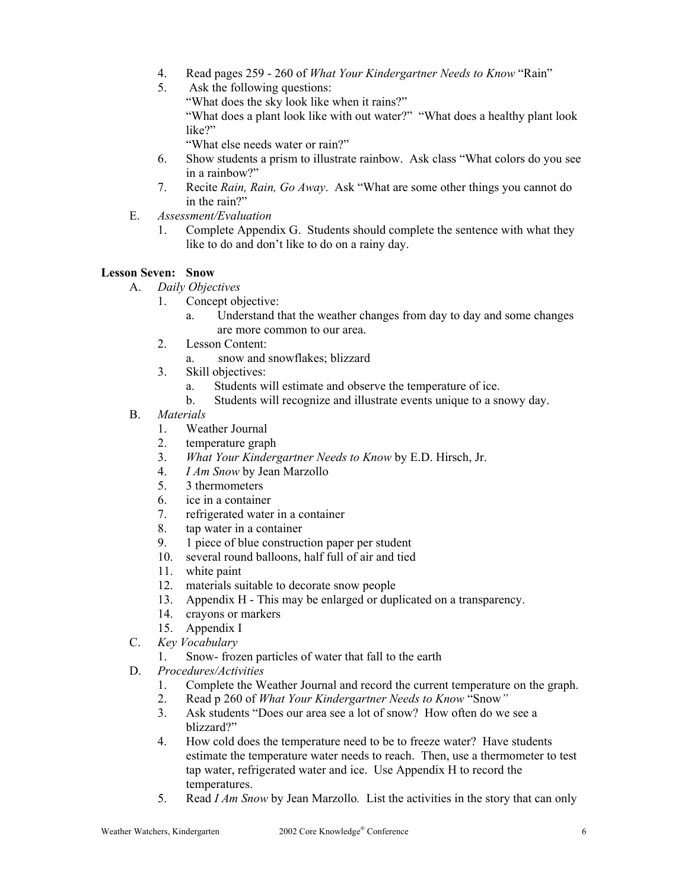- 4. Read pages 259 260 of *What Your Kindergartner Needs to Know* "Rain"
- 5. Ask the following questions:

"What does the sky look like when it rains?"

"What does a plant look like with out water?" "What does a healthy plant look like?"

"What else needs water or rain?"

- 6. Show students a prism to illustrate rainbow. Ask class "What colors do you see in a rainbow?"
- 7. Recite *Rain, Rain, Go Away*. Ask "What are some other things you cannot do in the rain?"
- E. *Assessment/Evaluation*
	- 1. Complete Appendix G. Students should complete the sentence with what they like to do and don't like to do on a rainy day.

#### **Lesson Seven: Snow**

- A. *Daily Objectives*
	- 1. Concept objective:
		- a. Understand that the weather changes from day to day and some changes are more common to our area.
	- 2. Lesson Content:
		- a. snow and snowflakes; blizzard
	- 3. Skill objectives:
		- a. Students will estimate and observe the temperature of ice.
		- b. Students will recognize and illustrate events unique to a snowy day.
- B. *Materials*
	- 1. Weather Journal
	- 2. temperature graph
	- 3. *What Your Kindergartner Needs to Know* by E.D. Hirsch, Jr.
	- 4. *I Am Snow* by Jean Marzollo
	- 5. 3 thermometers
	- 6. ice in a container
	- 7. refrigerated water in a container
	- 8. tap water in a container
	- 9. 1 piece of blue construction paper per student
	- 10. several round balloons, half full of air and tied
	- 11. white paint
	- 12. materials suitable to decorate snow people
	- 13. Appendix H This may be enlarged or duplicated on a transparency.
	- 14. crayons or markers
	- 15. Appendix I
- C. *Key Vocabulary*
	- 1. Snow- frozen particles of water that fall to the earth
- D. *Procedures/Activities*
	- 1. Complete the Weather Journal and record the current temperature on the graph.
	- 2. Read p 260 of *What Your Kindergartner Needs to Know* "Snow*"*
	- 3. Ask students "Does our area see a lot of snow? How often do we see a blizzard?"
	- 4. How cold does the temperature need to be to freeze water? Have students estimate the temperature water needs to reach. Then, use a thermometer to test tap water, refrigerated water and ice. Use Appendix H to record the temperatures.
	- 5. Read *I Am Snow* by Jean Marzollo*.* List the activities in the story that can only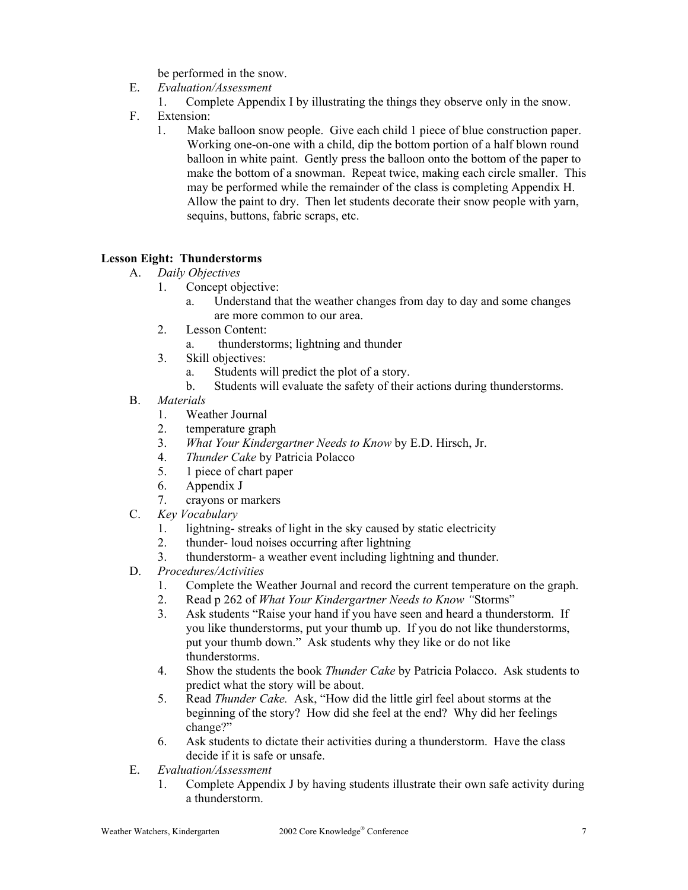be performed in the snow.

- E. *Evaluation/Assessment*
	- 1. Complete Appendix I by illustrating the things they observe only in the snow.
- F. Extension:
	- 1. Make balloon snow people. Give each child 1 piece of blue construction paper. Working one-on-one with a child, dip the bottom portion of a half blown round balloon in white paint. Gently press the balloon onto the bottom of the paper to make the bottom of a snowman. Repeat twice, making each circle smaller. This may be performed while the remainder of the class is completing Appendix H. Allow the paint to dry. Then let students decorate their snow people with yarn, sequins, buttons, fabric scraps, etc.

#### **Lesson Eight: Thunderstorms**

- A. *Daily Objectives*
	- 1. Concept objective:
		- a. Understand that the weather changes from day to day and some changes are more common to our area.
	- 2. Lesson Content:
		- a. thunderstorms; lightning and thunder
	- 3. Skill objectives:
		- a. Students will predict the plot of a story.
		- b. Students will evaluate the safety of their actions during thunderstorms.
- B. *Materials*
	- 1. Weather Journal
	- 2. temperature graph
	- 3. *What Your Kindergartner Needs to Know* by E.D. Hirsch, Jr.
	- 4. *Thunder Cake* by Patricia Polacco
	- 5. 1 piece of chart paper
	- 6. Appendix J
	- 7. crayons or markers
- C. *Key Vocabulary*
	- 1. lightning- streaks of light in the sky caused by static electricity
	- 2. thunder- loud noises occurring after lightning
	- 3. thunderstorm- a weather event including lightning and thunder.
- D. *Procedures/Activities*
	- 1. Complete the Weather Journal and record the current temperature on the graph.
	- 2. Read p 262 of *What Your Kindergartner Needs to Know "*Storms"
	- 3. Ask students "Raise your hand if you have seen and heard a thunderstorm. If you like thunderstorms, put your thumb up. If you do not like thunderstorms, put your thumb down." Ask students why they like or do not like thunderstorms.
	- 4. Show the students the book *Thunder Cake* by Patricia Polacco. Ask students to predict what the story will be about.
	- 5. Read *Thunder Cake.* Ask, "How did the little girl feel about storms at the beginning of the story? How did she feel at the end? Why did her feelings change?"
	- 6. Ask students to dictate their activities during a thunderstorm. Have the class decide if it is safe or unsafe.
- E. *Evaluation/Assessment*
	- 1. Complete Appendix J by having students illustrate their own safe activity during a thunderstorm.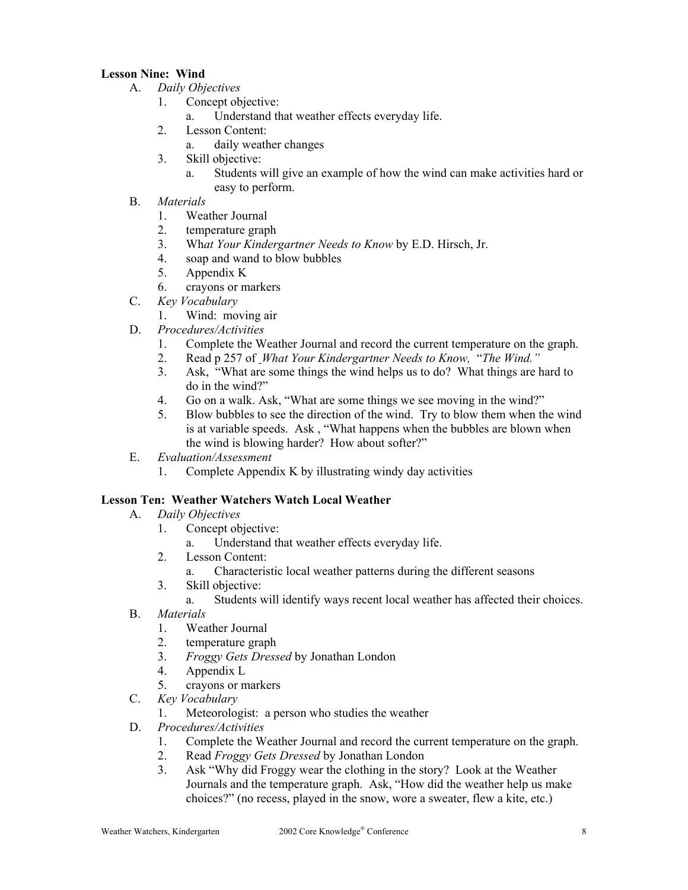#### **Lesson Nine: Wind**

- A. *Daily Objectives*
	- 1. Concept objective:
		- a. Understand that weather effects everyday life.
	- 2. Lesson Content:
		- a. daily weather changes
	- 3. Skill objective:
		- a. Students will give an example of how the wind can make activities hard or easy to perform.
- B. *Materials*
	- 1. Weather Journal
	- 2. temperature graph
	- 3. Wh*at Your Kindergartner Needs to Know* by E.D. Hirsch, Jr.
	- 4. soap and wand to blow bubbles
	- 5. Appendix K
	- 6. crayons or markers
- C. *Key Vocabulary*
	- 1. Wind: moving air
- D. *Procedures/Activities*
	- 1. Complete the Weather Journal and record the current temperature on the graph.
	- 2. Read p 257 of *What Your Kindergartner Needs to Know,* "*The Wind."*
	- 3. Ask, "What are some things the wind helps us to do? What things are hard to do in the wind?"
	- 4. Go on a walk. Ask, "What are some things we see moving in the wind?"
	- 5. Blow bubbles to see the direction of the wind. Try to blow them when the wind is at variable speeds. Ask , "What happens when the bubbles are blown when the wind is blowing harder? How about softer?"
- E. *Evaluation/Assessment*
	- 1. Complete Appendix K by illustrating windy day activities

#### **Lesson Ten: Weather Watchers Watch Local Weather**

- A. *Daily Objectives*
	- 1. Concept objective:
		- a. Understand that weather effects everyday life.
	- 2. Lesson Content:
		- a. Characteristic local weather patterns during the different seasons
	- 3. Skill objective:
		- a. Students will identify ways recent local weather has affected their choices.
- B. *Materials*
	- 1. Weather Journal
	- 2. temperature graph
	- 3. *Froggy Gets Dressed* by Jonathan London
	- 4. Appendix L
	- 5. crayons or markers
- C. *Key Vocabulary*
	- 1. Meteorologist: a person who studies the weather
- D. *Procedures/Activities*
	- 1. Complete the Weather Journal and record the current temperature on the graph.
	- 2. Read *Froggy Gets Dressed* by Jonathan London
	- 3. Ask "Why did Froggy wear the clothing in the story? Look at the Weather Journals and the temperature graph. Ask, "How did the weather help us make choices?" (no recess, played in the snow, wore a sweater, flew a kite, etc.)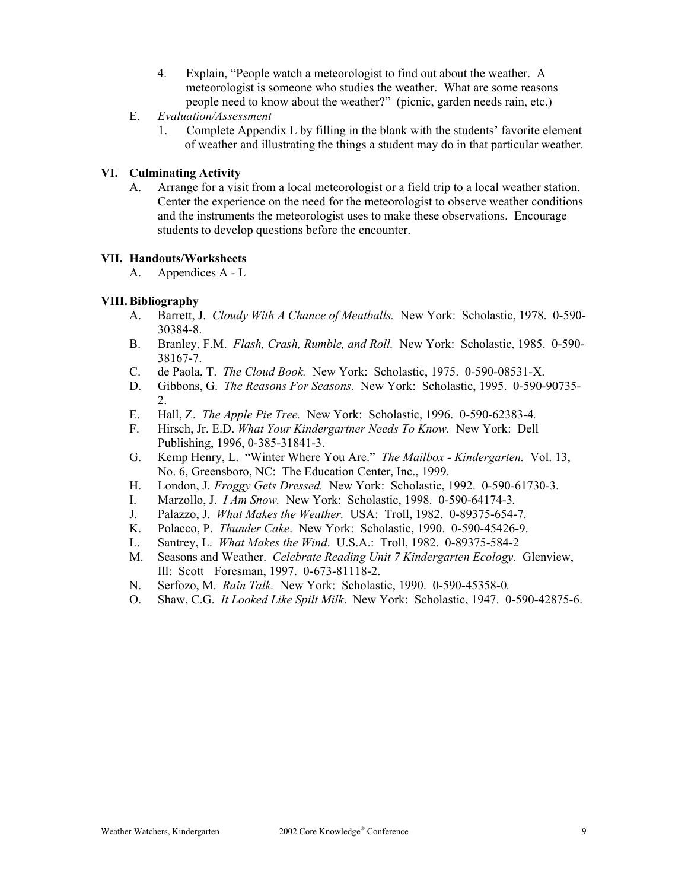- 4. Explain, "People watch a meteorologist to find out about the weather. A meteorologist is someone who studies the weather. What are some reasons people need to know about the weather?" (picnic, garden needs rain, etc.)
- E. *Evaluation/Assessment*
	- 1. Complete Appendix L by filling in the blank with the students' favorite element of weather and illustrating the things a student may do in that particular weather.

#### **VI. Culminating Activity**

A. Arrange for a visit from a local meteorologist or a field trip to a local weather station. Center the experience on the need for the meteorologist to observe weather conditions and the instruments the meteorologist uses to make these observations. Encourage students to develop questions before the encounter.

#### **VII. Handouts/Worksheets**

A. Appendices A - L

#### **VIII. Bibliography**

- A. Barrett, J. *Cloudy With A Chance of Meatballs.* New York: Scholastic, 1978. 0-590- 30384-8.
- B. Branley, F.M. *Flash, Crash, Rumble, and Roll.* New York: Scholastic, 1985. 0-590- 38167-7.
- C. de Paola, T. *The Cloud Book.* New York: Scholastic, 1975. 0-590-08531-X.
- D. Gibbons, G. *The Reasons For Seasons.* New York: Scholastic, 1995. 0-590-90735-  $\mathcal{D}$
- E. Hall, Z. *The Apple Pie Tree.* New York: Scholastic, 1996. 0-590-62383-4*.*
- F. Hirsch, Jr. E.D. *What Your Kindergartner Needs To Know.* New York: Dell Publishing, 1996, 0-385-31841-3.
- G. Kemp Henry, L. "Winter Where You Are." *The Mailbox Kindergarten.* Vol. 13, No. 6, Greensboro, NC: The Education Center, Inc., 1999.
- H. London, J. *Froggy Gets Dressed.* New York: Scholastic, 1992. 0-590-61730-3.
- I. Marzollo, J. *I Am Snow.* New York: Scholastic, 1998. 0-590-64174-3*.*
- J. Palazzo, J. *What Makes the Weather.* USA: Troll, 1982. 0-89375-654-7.
- K. Polacco, P. *Thunder Cake*. New York: Scholastic, 1990. 0-590-45426-9.
- L. Santrey, L. *What Makes the Wind*. U.S.A.: Troll, 1982. 0-89375-584-2
- M. Seasons and Weather. *Celebrate Reading Unit 7 Kindergarten Ecology.* Glenview, Ill: Scott Foresman, 1997. 0-673-81118-2.
- N. Serfozo, M. *Rain Talk.* New York: Scholastic, 1990. 0-590-45358-0*.*
- O. Shaw, C.G. *It Looked Like Spilt Milk*. New York: Scholastic, 1947. 0-590-42875-6.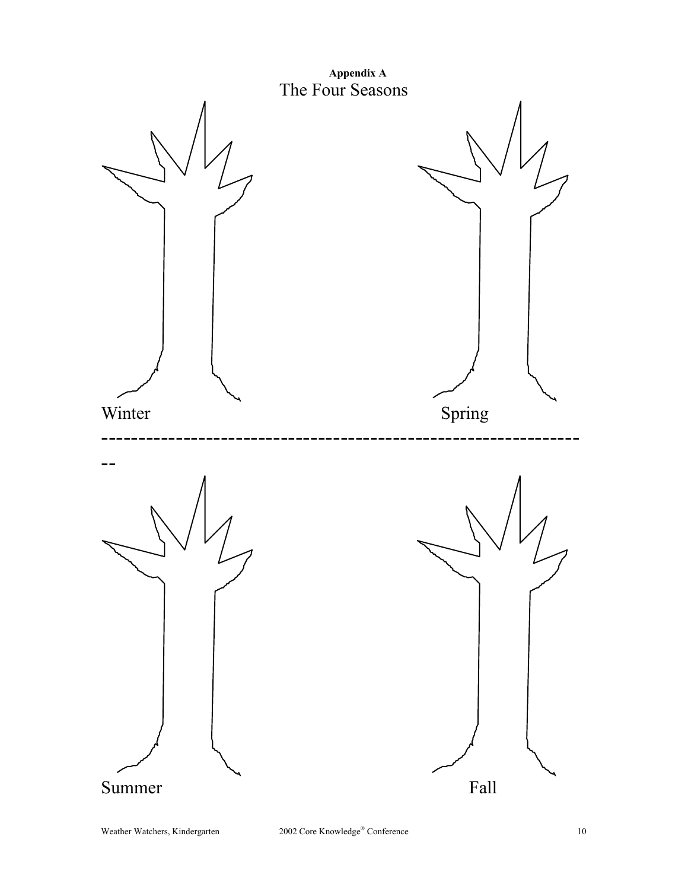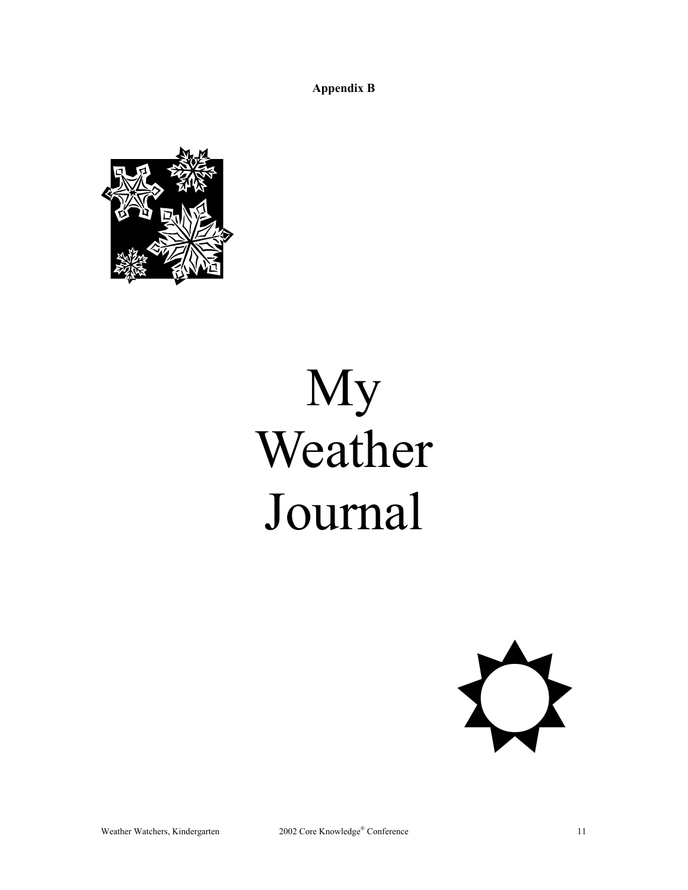**Appendix B** 



# My Weather Journal

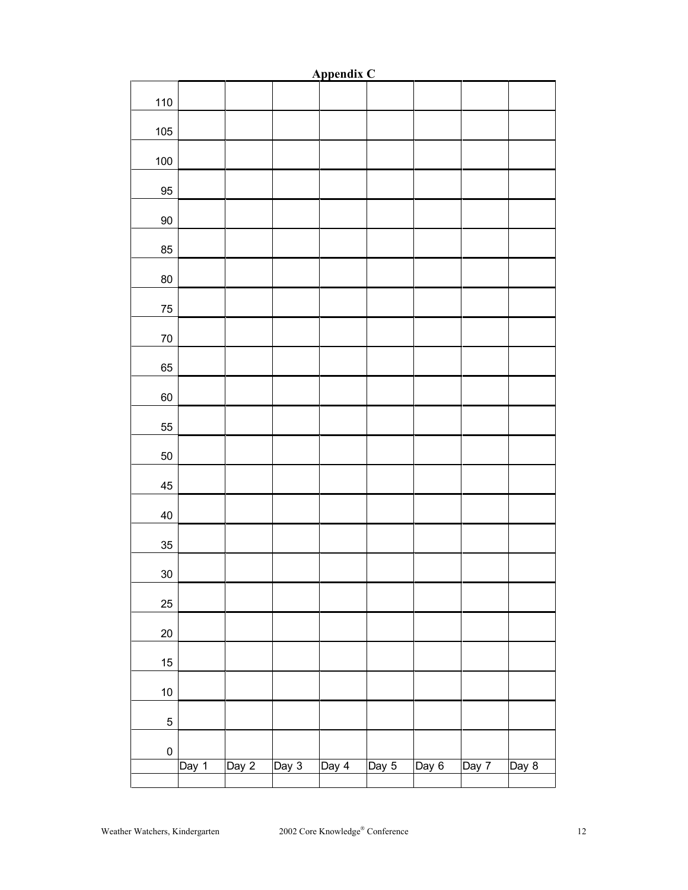| Appendix C  |       |       |         |                |       |                |                    |                    |  |
|-------------|-------|-------|---------|----------------|-------|----------------|--------------------|--------------------|--|
| 110         |       |       |         |                |       |                |                    |                    |  |
| $105$       |       |       |         |                |       |                |                    |                    |  |
| 100         |       |       |         |                |       |                |                    |                    |  |
| 95          |       |       |         |                |       |                |                    |                    |  |
| $90\,$      |       |       |         |                |       |                |                    |                    |  |
| 85          |       |       |         |                |       |                |                    |                    |  |
| 80          |       |       |         |                |       |                |                    |                    |  |
| 75          |       |       |         |                |       |                |                    |                    |  |
| $70\,$      |       |       |         |                |       |                |                    |                    |  |
| 65          |       |       |         |                |       |                |                    |                    |  |
| 60          |       |       |         |                |       |                |                    |                    |  |
| 55          |       |       |         |                |       |                |                    |                    |  |
| 50          |       |       |         |                |       |                |                    |                    |  |
| 45          |       |       |         |                |       |                |                    |                    |  |
| 40          |       |       |         |                |       |                |                    |                    |  |
| 35          |       |       |         |                |       |                |                    |                    |  |
| $30\,$      |       |       |         |                |       |                |                    |                    |  |
| 25          |       |       |         |                |       |                |                    |                    |  |
| $20\,$      |       |       |         |                |       |                |                    |                    |  |
| 15          |       |       |         |                |       |                |                    |                    |  |
| $10\,$      |       |       |         |                |       |                |                    |                    |  |
| $\mathbf 5$ |       |       |         |                |       |                |                    |                    |  |
| $\pmb{0}$   |       |       |         |                |       |                |                    |                    |  |
|             | Day 1 | Day 2 | Day $3$ | $\sqrt{$ Day 4 | Day 5 | $\sqrt{$ Day 6 | $\overline{Day 7}$ | $\overline{Day 8}$ |  |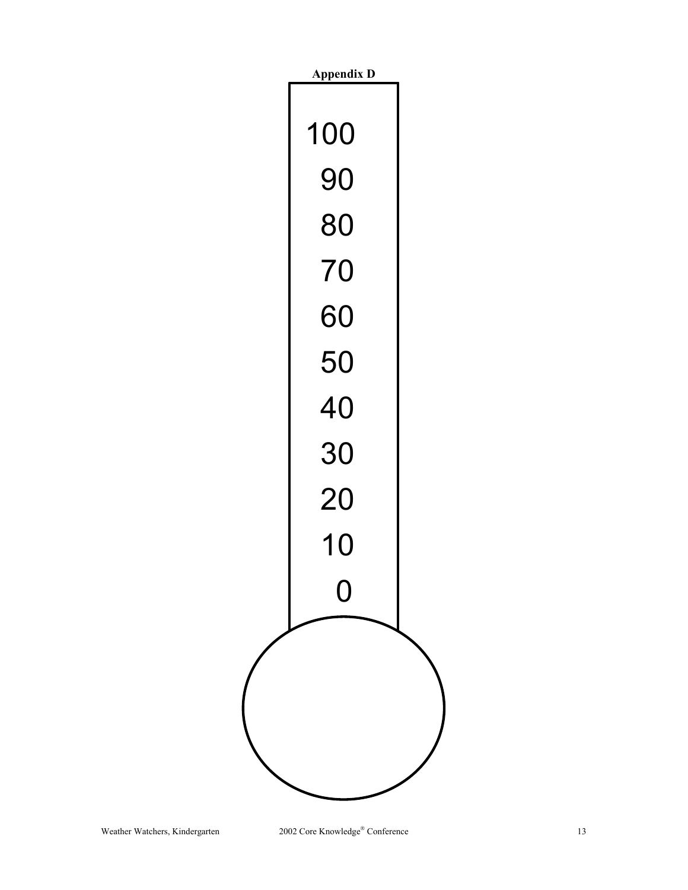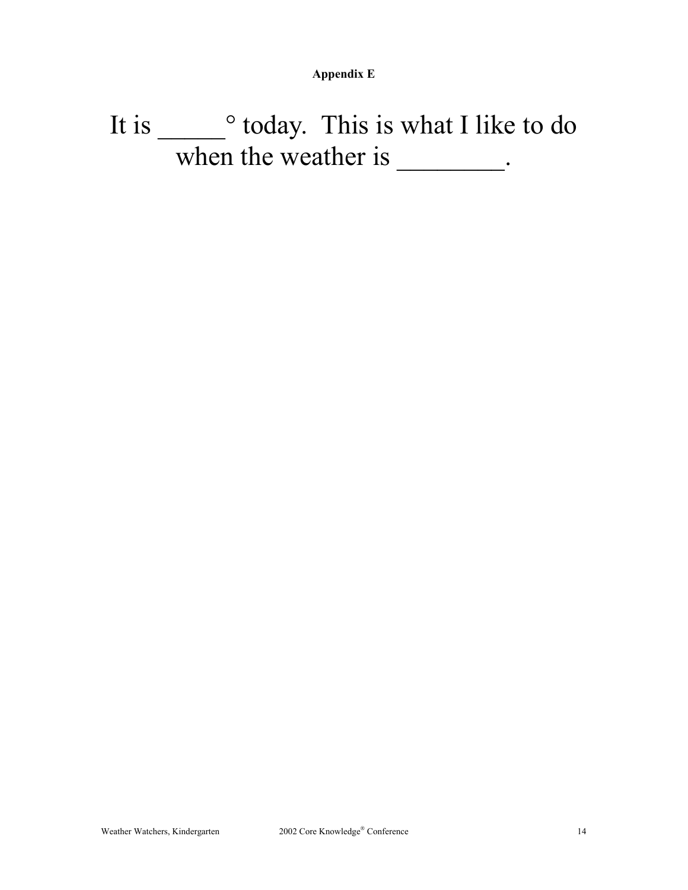**Appendix E** 

### It is \_\_\_\_\_° today. This is what I like to do when the weather is \_\_\_\_\_\_\_\_.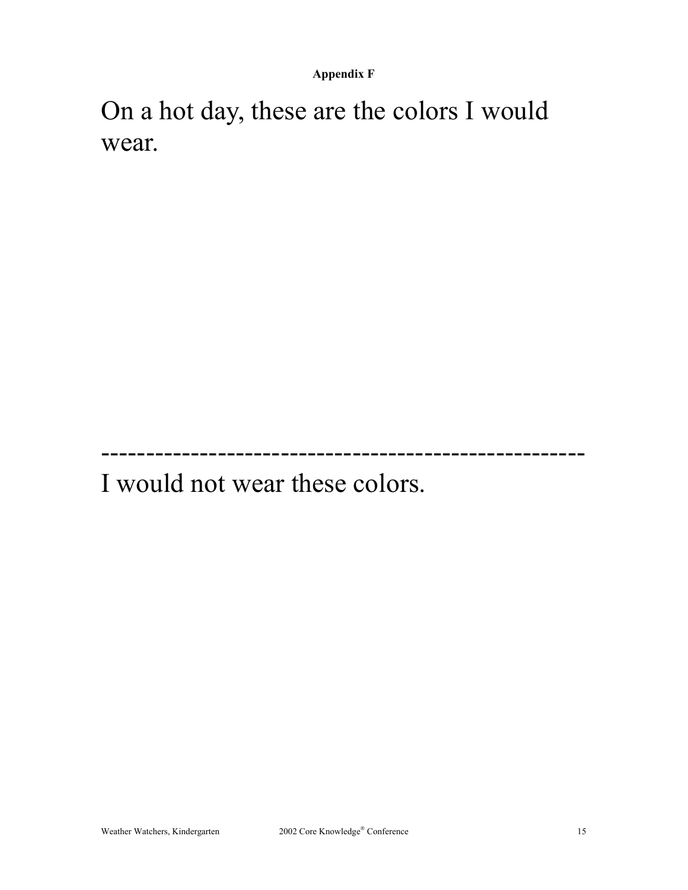**Appendix F** 

On a hot day, these are the colors I would wear.

------------------------------------------------------

I would not wear these colors.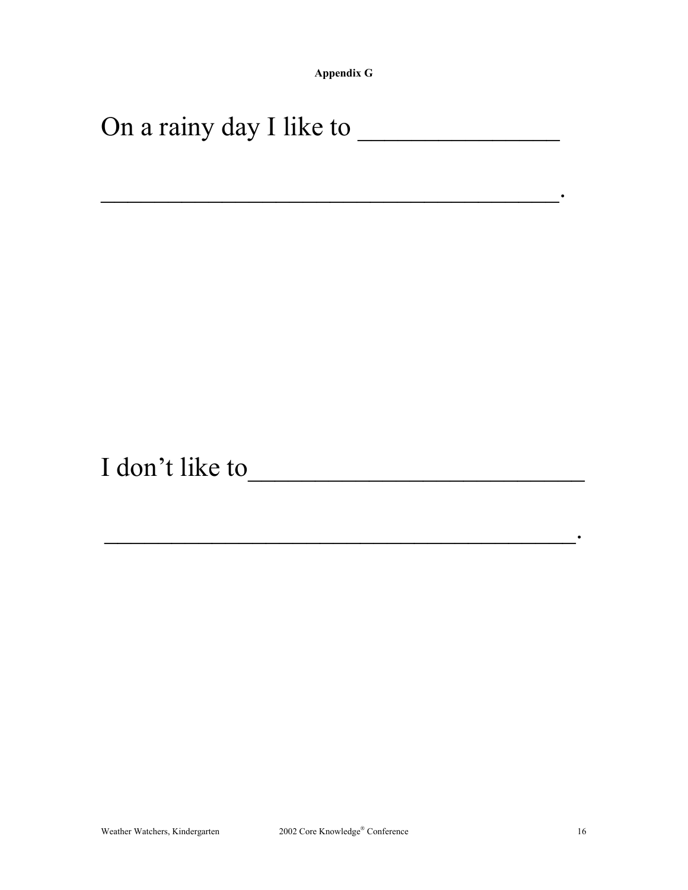**Appendix G**

\_\_\_\_\_\_\_\_\_\_\_\_\_\_\_\_\_\_\_\_\_\_\_\_\_\_\_\_\_\_\_\_\_\_.

 $\frac{1}{\sqrt{2}}$  ,  $\frac{1}{\sqrt{2}}$  ,  $\frac{1}{\sqrt{2}}$  ,  $\frac{1}{\sqrt{2}}$  ,  $\frac{1}{\sqrt{2}}$  ,  $\frac{1}{\sqrt{2}}$  ,  $\frac{1}{\sqrt{2}}$  ,  $\frac{1}{\sqrt{2}}$  ,  $\frac{1}{\sqrt{2}}$  ,  $\frac{1}{\sqrt{2}}$  ,  $\frac{1}{\sqrt{2}}$  ,  $\frac{1}{\sqrt{2}}$  ,  $\frac{1}{\sqrt{2}}$  ,  $\frac{1}{\sqrt{2}}$  ,  $\frac{1}{\sqrt{2}}$ 

### On a rainy day I like to \_\_\_\_\_\_\_\_\_\_\_\_\_\_\_

I don't like to\_\_\_\_\_\_\_\_\_\_\_\_\_\_\_\_\_\_\_\_\_\_\_\_\_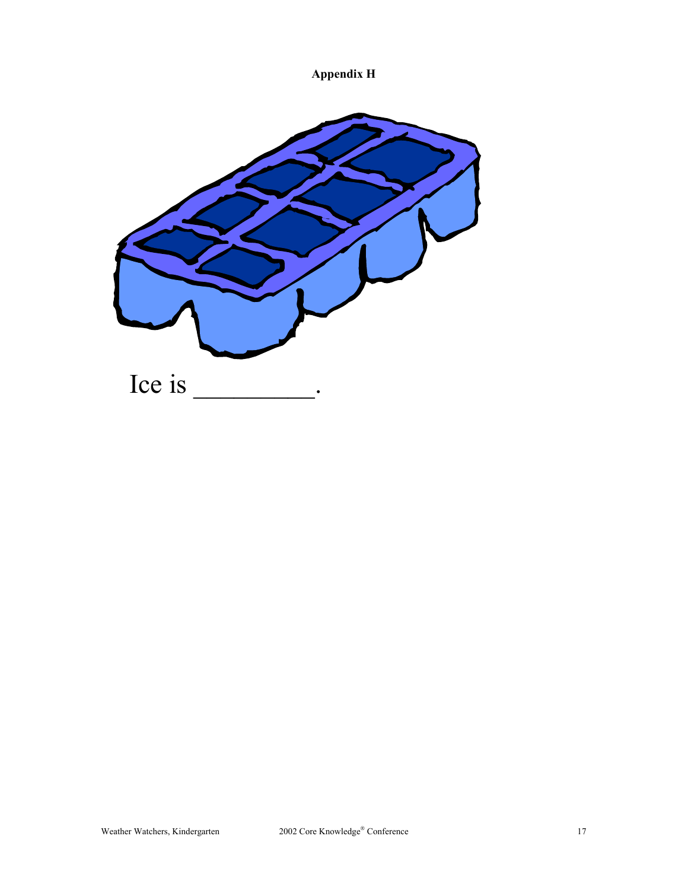**Appendix H**

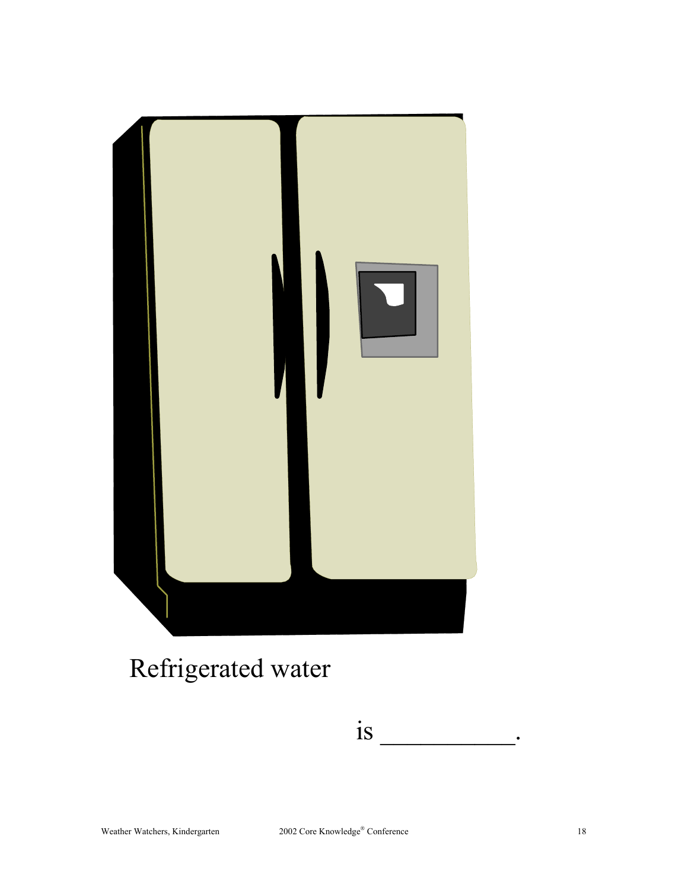

### Refrigerated water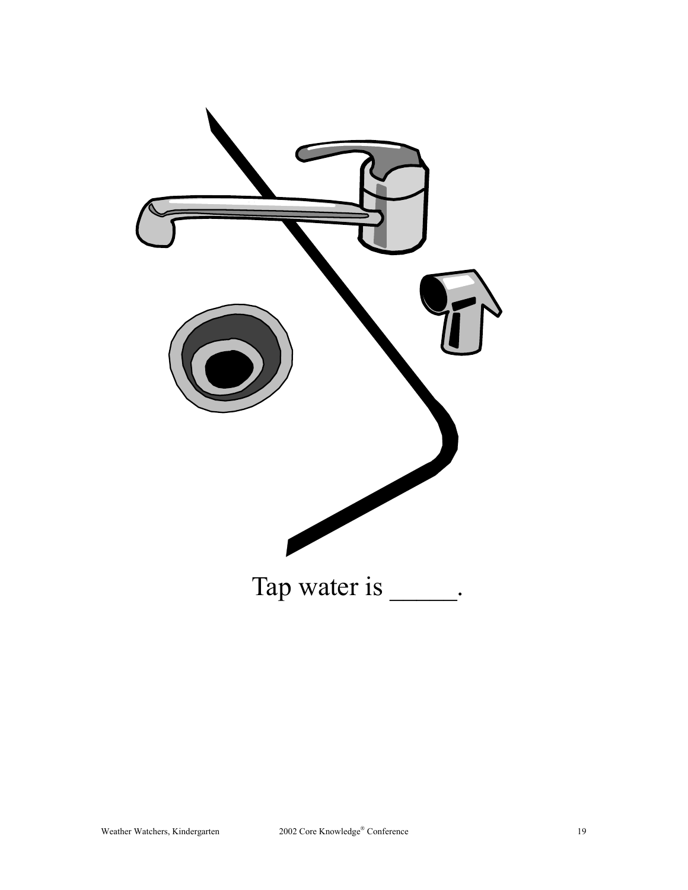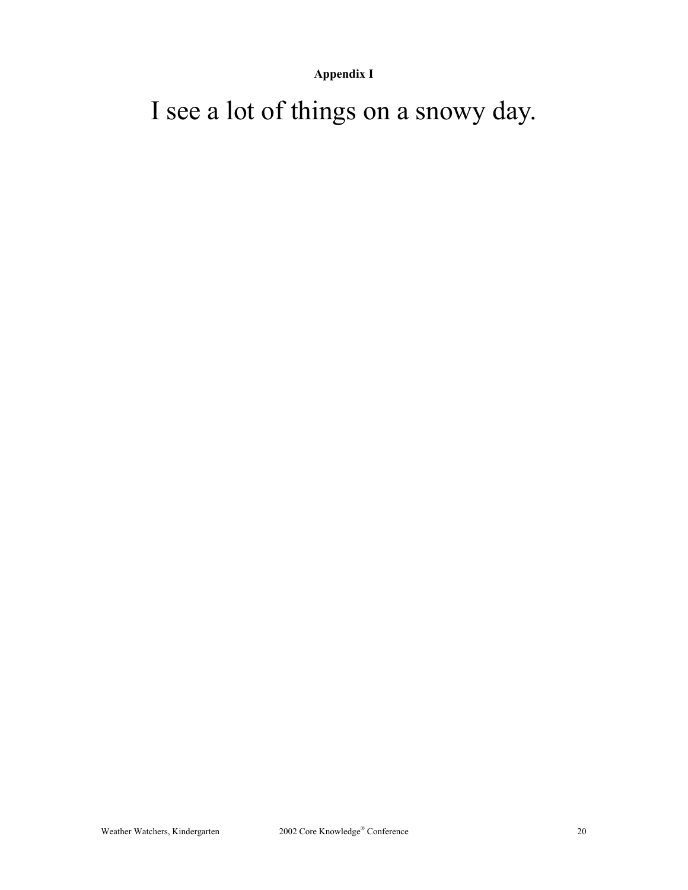**Appendix I**

I see a lot of things on a snowy day.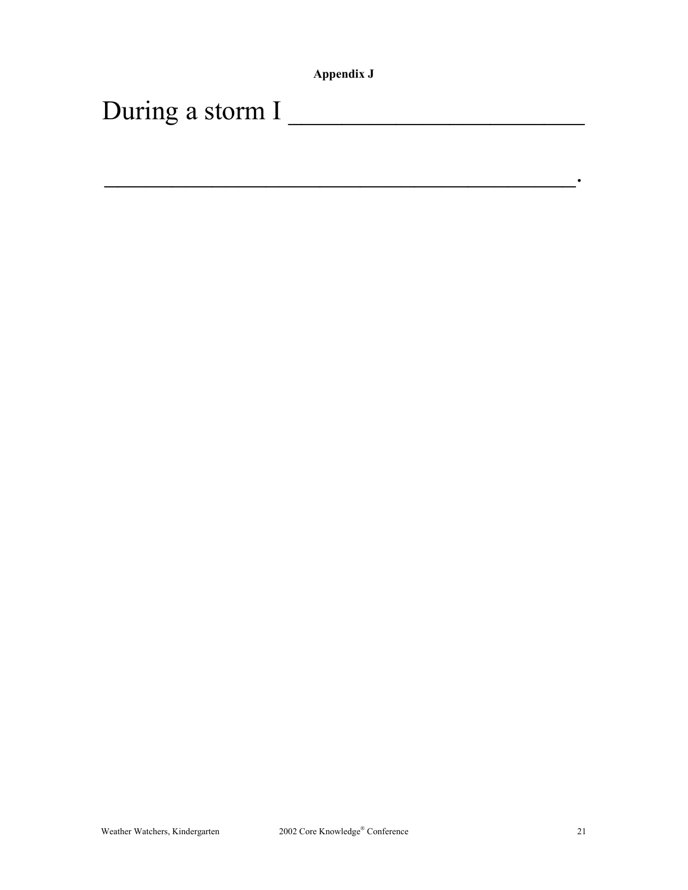| Appendix J |  |
|------------|--|
|            |  |

 $\mathcal{L}_\text{max}$  and  $\mathcal{L}_\text{max}$  and  $\mathcal{L}_\text{max}$  and  $\mathcal{L}_\text{max}$  and  $\mathcal{L}_\text{max}$ 

| During a storm I |  |
|------------------|--|
|------------------|--|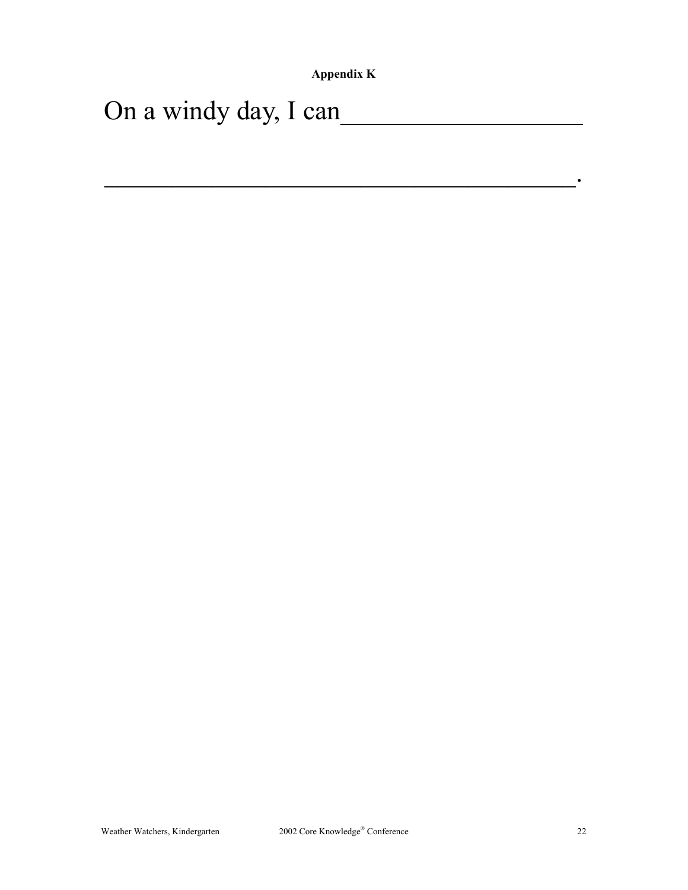**Appendix K** 

 $\mathcal{L}_\text{max}$  and  $\mathcal{L}_\text{max}$  and  $\mathcal{L}_\text{max}$  and  $\mathcal{L}_\text{max}$  and  $\mathcal{L}_\text{max}$ 

On a windy day, I can